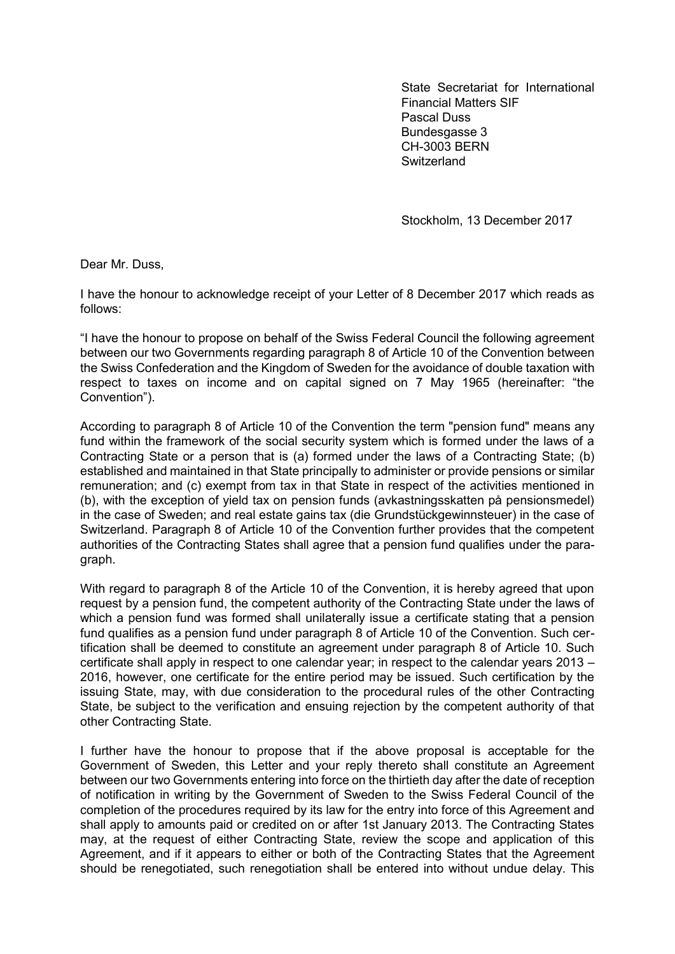State Secretariat for International Financial Matters SIF Pascal Duss Bundesgasse 3 CH-3003 BERN **Switzerland** 

Stockholm, 13 December 2017

Dear Mr. Duss,

I have the honour to acknowledge receipt of your Letter of 8 December 2017 which reads as follows:

"I have the honour to propose on behalf of the Swiss Federal Council the following agreement between our two Governments regarding paragraph 8 of Article 10 of the Convention between the Swiss Confederation and the Kingdom of Sweden for the avoidance of double taxation with respect to taxes on income and on capital signed on 7 May 1965 (hereinafter: "the Convention").

According to paragraph 8 of Article 10 of the Convention the term "pension fund" means any fund within the framework of the social security system which is formed under the laws of a Contracting State or a person that is (a) formed under the laws of a Contracting State; (b) established and maintained in that State principally to administer or provide pensions or similar remuneration; and (c) exempt from tax in that State in respect of the activities mentioned in (b), with the exception of yield tax on pension funds (avkastningsskatten på pensionsmedel) in the case of Sweden; and real estate gains tax (die Grundstückgewinnsteuer) in the case of Switzerland. Paragraph 8 of Article 10 of the Convention further provides that the competent authorities of the Contracting States shall agree that a pension fund qualifies under the paragraph.

With regard to paragraph 8 of the Article 10 of the Convention, it is hereby agreed that upon request by a pension fund, the competent authority of the Contracting State under the laws of which a pension fund was formed shall unilaterally issue a certificate stating that a pension fund qualifies as a pension fund under paragraph 8 of Article 10 of the Convention. Such certification shall be deemed to constitute an agreement under paragraph 8 of Article 10. Such certificate shall apply in respect to one calendar year; in respect to the calendar years 2013 – 2016, however, one certificate for the entire period may be issued. Such certification by the issuing State, may, with due consideration to the procedural rules of the other Contracting State, be subject to the verification and ensuing rejection by the competent authority of that other Contracting State.

I further have the honour to propose that if the above proposal is acceptable for the Government of Sweden, this Letter and your reply thereto shall constitute an Agreement between our two Governments entering into force on the thirtieth day after the date of reception of notification in writing by the Government of Sweden to the Swiss Federal Council of the completion of the procedures required by its law for the entry into force of this Agreement and shall apply to amounts paid or credited on or after 1st January 2013. The Contracting States may, at the request of either Contracting State, review the scope and application of this Agreement, and if it appears to either or both of the Contracting States that the Agreement should be renegotiated, such renegotiation shall be entered into without undue delay. This